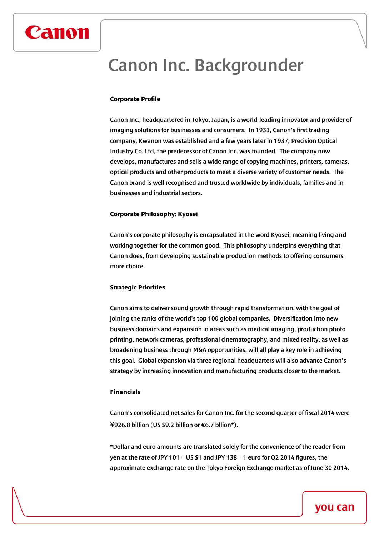## Canon Inc. Backgrounder

#### **Corporate Profile**

Canon

Canon Inc., headquartered in Tokyo, Japan, is a world-leading innovator and provider of imaging solutions for businesses and consumers. In 1933, Canon's first trading company, Kwanon was established and a few years later in 1937, Precision Optical Industry Co. Ltd, the predecessor of Canon Inc. was founded. The company now develops, manufactures and sells a wide range of copying machines, printers, cameras, optical products and other products to meet a diverse variety of customer needs. The Canon brand is well recognised and trusted worldwide by individuals, families and in businesses and industrial sectors.

#### **Corporate Philosophy: Kyosei**

Canon's corporate philosophy is encapsulated in the word Kyosei, meaning living and working together for the common good. This philosophy underpins everything that Canon does, from developing sustainable production methods to offering consumers more choice.

#### **Strategic Priorities**

Canon aims to deliver sound growth through rapid transformation, with the goal of joining the ranks of the world's top 100 global companies. Diversification into new business domains and expansion in areas such as medical imaging, production photo printing, network cameras, professional cinematography, and mixed reality, as well as broadening business through M&A opportunities, will all play a key role in achieving this goal. Global expansion via three regional headquarters will also advance Canon's strategy by increasing innovation and manufacturing products closer to the market.

### **Financials**

Canon's consolidated net sales for Canon Inc. for the second quarter of fiscal 2014 were ¥926.8 billion (US \$9.2 billion or €6.7 bllion\*).

\*Dollar and euro amounts are translated solely for the convenience of the reader from yen at the rate of JPY 101 = US \$1 and JPY 138 = 1 euro for Q2 2014 figures, the approximate exchange rate on the Tokyo Foreign Exchange market as of June 30 2014.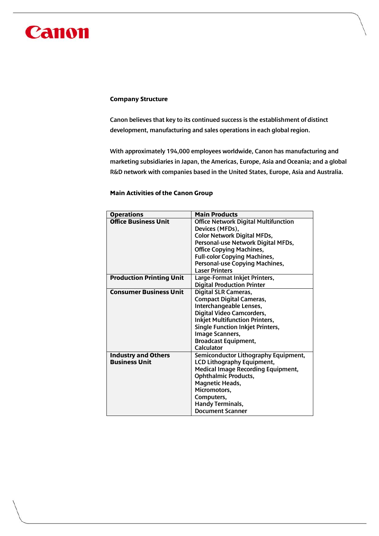# Canon

#### **Company Structure**

Canon believes that key to its continued success is the establishment of distinct development, manufacturing and sales operations in each global region.

With approximately 194,000 employees worldwide, Canon has manufacturing and marketing subsidiaries in Japan, the Americas, Europe, Asia and Oceania; and a global R&D network with companies based in the United States, Europe, Asia and Australia.

### **Main Activities of the Canon Group**

| <b>Operations</b>               | <b>Main Products</b>                        |
|---------------------------------|---------------------------------------------|
| <b>Office Business Unit</b>     | <b>Office Network Digital Multifunction</b> |
|                                 | Devices (MFDs),                             |
|                                 | <b>Color Network Digital MFDs,</b>          |
|                                 | Personal-use Network Digital MFDs,          |
|                                 | <b>Office Copying Machines,</b>             |
|                                 | <b>Full-color Copying Machines,</b>         |
|                                 | Personal-use Copying Machines,              |
|                                 | <b>Laser Printers</b>                       |
| <b>Production Printing Unit</b> | Large-Format Inkjet Printers,               |
|                                 | <b>Digital Production Printer</b>           |
| <b>Consumer Business Unit</b>   | <b>Digital SLR Cameras,</b>                 |
|                                 | <b>Compact Digital Cameras,</b>             |
|                                 | Interchangeable Lenses,                     |
|                                 | Digital Video Camcorders,                   |
|                                 | <b>Inkjet Multifunction Printers,</b>       |
|                                 | <b>Single Function Inkjet Printers,</b>     |
|                                 | Image Scanners,                             |
|                                 | <b>Broadcast Equipment,</b>                 |
|                                 | Calculator                                  |
| <b>Industry and Others</b>      | Semiconductor Lithography Equipment,        |
| <b>Business Unit</b>            | <b>LCD Lithography Equipment,</b>           |
|                                 | <b>Medical Image Recording Equipment,</b>   |
|                                 | <b>Ophthalmic Products,</b>                 |
|                                 | <b>Magnetic Heads,</b>                      |
|                                 | Micromotors,                                |
|                                 | Computers,                                  |
|                                 | <b>Handy Terminals,</b>                     |
|                                 | <b>Document Scanner</b>                     |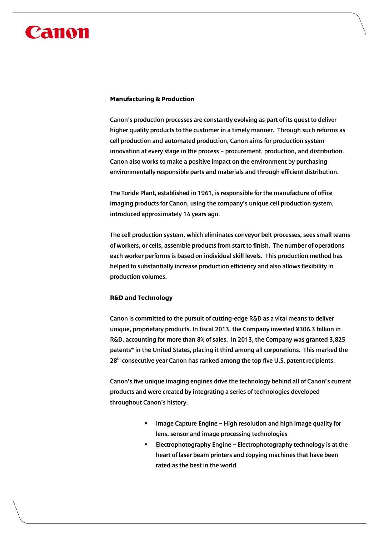# Canon

#### **Manufacturing & Production**

Canon's production processes are constantly evolving as part of its quest to deliver higher quality products to the customer in a timely manner. Through such reforms as cell production and automated production, Canon aims for production system innovation at every stage in the process – procurement, production, and distribution. Canon also works to make a positive impact on the environment by purchasing environmentally responsible parts and materials and through efficient distribution.

The Toride Plant, established in 1961, is responsible for the manufacture of office imaging products for Canon, using the company's unique cell production system, introduced approximately 14 years ago.

The cell production system, which eliminates conveyor belt processes, sees small teams of workers, or cells, assemble products from start to finish. The number of operations each worker performs is based on individual skill levels. This production method has helped to substantially increase production efficiency and also allows flexibility in production volumes.

## **R&D and Technology**

Canon is committed to the pursuit of cutting-edge R&D as a vital means to deliver unique, proprietary products. In fiscal 2013, the Company invested ¥306.3 billion in R&D, accounting for more than 8% of sales. In 2013, the Company was granted 3,825 patents\* in the United States, placing it third among all corporations. This marked the 28<sup>th</sup> consecutive year Canon has ranked among the top five U.S. patent recipients.

Canon's five unique imaging engines drive the technology behind all of Canon's current products and were created by integrating a series of technologies developed throughout Canon's history:

- Image Capture Engine High resolution and high image quality for lens, sensor and image processing technologies
- Electrophotography Engine Electrophotography technology is at the heart of laser beam printers and copying machines that have been rated as the best in the world